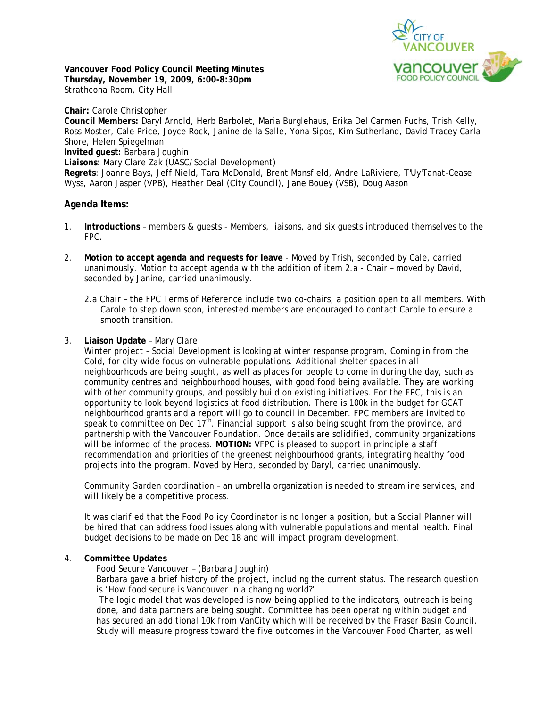

**Vancouver Food Policy Council Meeting Minutes Thursday, November 19, 2009, 6:00-8:30pm**  Strathcona Room, City Hall

**Chair:** Carole Christopher **Council Members:** Daryl Arnold, Herb Barbolet, Maria Burglehaus, Erika Del Carmen Fuchs, Trish Kelly, Ross Moster, Cale Price, Joyce Rock, Janine de la Salle, Yona Sipos, Kim Sutherland, David Tracey Carla Shore, Helen Spiegelman **Invited guest:** Barbara Joughin **Liaisons:** Mary Clare Zak (UASC/Social Development) **Regrets**: Joanne Bays, Jeff Nield, Tara McDonald, Brent Mansfield, Andre LaRiviere, T'Uy'Tanat-Cease Wyss, Aaron Jasper (VPB), Heather Deal (City Council), Jane Bouey (VSB), Doug Aason

# **Agenda Items:**

- 1. **Introductions** members & guests Members, liaisons, and six guests introduced themselves to the FPC.
- 2. **Motion to accept agenda and requests for leave** Moved by Trish, seconded by Cale, carried unanimously. Motion to accept agenda with the addition of item 2.a - Chair – moved by David, seconded by Janine, carried unanimously.
	- 2.a *Chair*  the FPC Terms of Reference include two co-chairs, a position open to all members. With Carole to step down soon, interested members are encouraged to contact Carole to ensure a smooth transition.

## 3. **Liaison Update** – Mary Clare

Winter project – Social Development is looking at winter response program, *Coming in from the Cold,* for city-wide focus on vulnerable populations. Additional shelter spaces in all neighbourhoods are being sought, as well as places for people to come in during the day, such as community centres and neighbourhood houses, with good food being available. They are working with other community groups, and possibly build on existing initiatives. For the FPC, this is an opportunity to look beyond logistics at food distribution. There is 100k in the budget for GCAT neighbourhood grants and a report will go to council in December. FPC members are invited to speak to committee on Dec  $17<sup>th</sup>$ . Financial support is also being sought from the province, and partnership with the Vancouver Foundation. Once details are solidified, community organizations will be informed of the process. **MOTION:** VFPC is pleased to support in principle a staff recommendation and priorities of the greenest neighbourhood grants, integrating healthy food projects into the program. Moved by Herb, seconded by Daryl, carried unanimously.

Community Garden coordination – an umbrella organization is needed to streamline services, and will likely be a competitive process.

It was clarified that the Food Policy Coordinator is no longer a position, but a Social Planner will be hired that can address food issues along with vulnerable populations and mental health. Final budget decisions to be made on Dec 18 and will impact program development.

### 4. **Committee Updates**

*Food Secure Vancouver* – (Barbara Joughin)

Barbara gave a brief history of the project, including the current status. The research question is 'How food secure is Vancouver in a changing world?'

 The logic model that was developed is now being applied to the indicators, outreach is being done, and data partners are being sought. Committee has been operating within budget and has secured an additional 10k from VanCity which will be received by the Fraser Basin Council. Study will measure progress toward the five outcomes in the Vancouver Food Charter, as well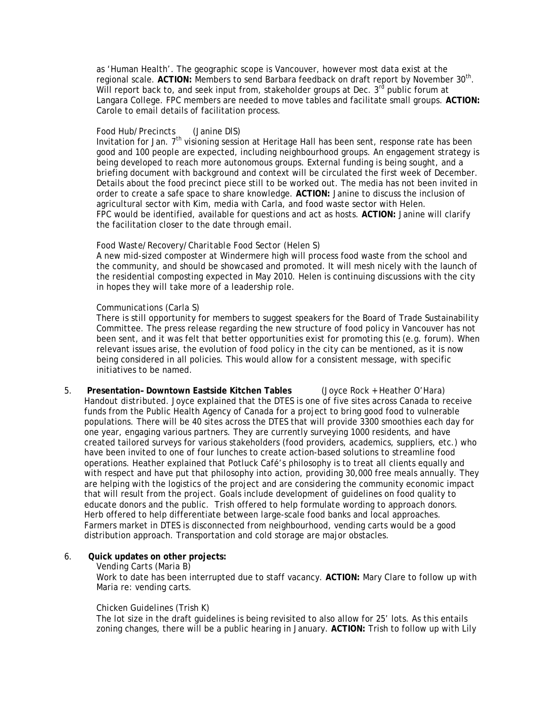as 'Human Health'. The geographic scope is Vancouver, however most data exist at the regional scale. **ACTION:** Members to send Barbara feedback on draft report by November 30th. Will report back to, and seek input from, stakeholder groups at Dec. 3<sup>rd</sup> public forum at Langara College. FPC members are needed to move tables and facilitate small groups. **ACTION:** Carole to email details of facilitation process.

### *Food Hub/Precincts* (Janine DlS)

Invitation for Jan.  $7<sup>th</sup>$  visioning session at Heritage Hall has been sent, response rate has been good and 100 people are expected, including neighbourhood groups. An engagement strategy is being developed to reach more autonomous groups. External funding is being sought, and a briefing document with background and context will be circulated the first week of December. Details about the food precinct piece still to be worked out. The media has not been invited in order to create a safe space to share knowledge. **ACTION:** Janine to discuss the inclusion of agricultural sector with Kim, media with Carla, and food waste sector with Helen. FPC would be identified, available for questions and act as hosts. **ACTION:** Janine will clarify the facilitation closer to the date through email.

### *Food Waste/Recovery/Charitable Food Sector* (Helen S)

A new mid-sized composter at Windermere high will process food waste from the school and the community, and should be showcased and promoted. It will mesh nicely with the launch of the residential composting expected in May 2010. Helen is continuing discussions with the city in hopes they will take more of a leadership role.

### *Communications* (Carla S)

There is still opportunity for members to suggest speakers for the Board of Trade Sustainability Committee. The press release regarding the new structure of food policy in Vancouver has not been sent, and it was felt that better opportunities exist for promoting this (e.g. forum). When relevant issues arise, the evolution of food policy in the city can be mentioned, as it is now being considered in all policies. This would allow for a consistent message, with specific initiatives to be named.

5. **Presentation– Downtown Eastside Kitchen Tables** (Joyce Rock + Heather O'Hara) *Handout distributed.* Joyce explained that the DTES is one of five sites across Canada to receive funds from the Public Health Agency of Canada for a project to bring good food to vulnerable populations. There will be 40 sites across the DTES that will provide 3300 smoothies each day for one year, engaging various partners. They are currently surveying 1000 residents, and have created tailored surveys for various stakeholders (food providers, academics, suppliers, etc.) who have been invited to one of four lunches to create action-based solutions to streamline food operations. Heather explained that Potluck Café's philosophy is to treat all clients equally and with respect and have put that philosophy into action, providing 30,000 free meals annually. They are helping with the logistics of the project and are considering the community economic impact that will result from the project. Goals include development of guidelines on food quality to educate donors and the public. Trish offered to help formulate wording to approach donors. Herb offered to help differentiate between large-scale food banks and local approaches. Farmers market in DTES is disconnected from neighbourhood, vending carts would be a good distribution approach. Transportation and cold storage are major obstacles.

### 6. **Quick updates on other projects:**

#### *Vending Carts* (Maria B)

Work to date has been interrupted due to staff vacancy. **ACTION:** Mary Clare to follow up with Maria re: vending carts.

#### *Chicken Guidelines* (Trish K)

The lot size in the draft guidelines is being revisited to also allow for 25' lots. As this entails zoning changes, there will be a public hearing in January. **ACTION:** Trish to follow up with Lily